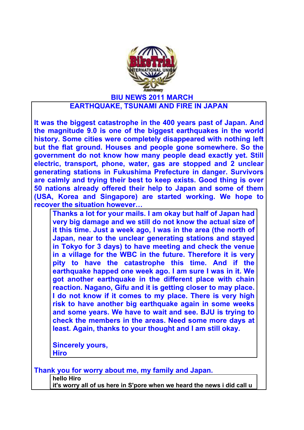

## **EARTHQUAKE, TSUNAMI AND FIRE IN JAPAN**

**It was the biggest catastrophe in the 400 years past of Japan. And the magnitude 9.0 is one of the biggest earthquakes in the world history. Some cities were completely disappeared with nothing left but the flat ground. Houses and people gone somewhere. So the government do not know how many people dead exactly yet. Still electric, transport, phone, water, gas are stopped and 2 unclear generating stations in Fukushima Prefecture in danger. Survivors are calmly and trying their best to keep exists. Good thing is over 50 nations already offered their help to Japan and some of them (USA, Korea and Singapore) are started working. We hope to recover the situation however…**

**Thanks a lot for your mails. I am okay but half of Japan had very big damage and we still do not know the actual size of it this time. Just a week ago, I was in the area (the north of Japan, near to the unclear generating stations and stayed in Tokyo for 3 days) to have meeting and check the venue in a village for the WBC in the future. Therefore it is very pity to have the catastrophe this time. And if the earthquake happed one week ago. I am sure I was in it. We got another earthquake in the different place with chain reaction. Nagano, Gifu and it is getting closer to may place. I do not know if it comes to my place. There is very high risk to have another big earthquake again in some weeks and some years. We have to wait and see. BJU is trying to check the members in the areas. Need some more days at least. Again, thanks to your thought and I am still okay.**

**Sincerely yours, Hiro**

| Thank you for worry about me, my family and Japan. |                                                                         |  |
|----------------------------------------------------|-------------------------------------------------------------------------|--|
|                                                    | hello Hiro                                                              |  |
|                                                    | it's worry all of us here in S'pore when we heard the news i did call u |  |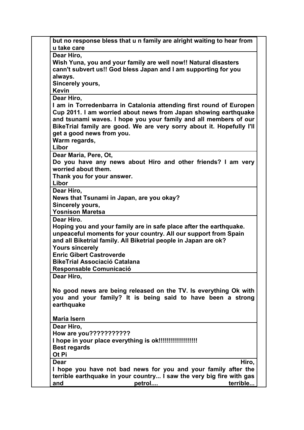| but no response bless that u n family are alright waiting to hear from<br>u take care                                              |  |
|------------------------------------------------------------------------------------------------------------------------------------|--|
| Dear Hiro,                                                                                                                         |  |
| Wish Yuna, you and your family are well now!! Natural disasters                                                                    |  |
| cann't subvert us!! God bless Japan and I am supporting for you                                                                    |  |
| always.                                                                                                                            |  |
| Sincerely yours,                                                                                                                   |  |
| <b>Kevin</b>                                                                                                                       |  |
| Dear Hiro,                                                                                                                         |  |
| I am in Torredenbarra in Catalonia attending first round of Europen                                                                |  |
| Cup 2011. I am worried about news from Japan showing earthquake                                                                    |  |
| and tsunami waves. I hope you your family and all members of our                                                                   |  |
| BikeTrial family are good. We are very sorry about it. Hopefully I'll                                                              |  |
| get a good news from you.                                                                                                          |  |
| Warm regards,                                                                                                                      |  |
| Libor                                                                                                                              |  |
| Dear Maria, Pere, Ot,                                                                                                              |  |
| Do you have any news about Hiro and other friends? I am very                                                                       |  |
| worried about them.                                                                                                                |  |
| Thank you for your answer.                                                                                                         |  |
| Libor                                                                                                                              |  |
| Dear Hiro,                                                                                                                         |  |
| News that Tsunami in Japan, are you okay?                                                                                          |  |
| Sincerely yours,                                                                                                                   |  |
| <b>Yosnison Maretsa</b>                                                                                                            |  |
| Dear Hiro.                                                                                                                         |  |
| Hoping you and your family are in safe place after the earthquake.                                                                 |  |
| unpeaceful moments for your country. All our support from Spain<br>and all Biketrial family. All Biketrial people in Japan are ok? |  |
| <b>Yours sincerely</b>                                                                                                             |  |
| <b>Enric Gibert Castroverde</b>                                                                                                    |  |
| <b>BikeTrial Associació Catalana</b>                                                                                               |  |
| Responsable Comunicació                                                                                                            |  |
| Dear Hiro,                                                                                                                         |  |
|                                                                                                                                    |  |
| No good news are being released on the TV. Is everything Ok with                                                                   |  |
| you and your family? It is being said to have been a strong                                                                        |  |
| earthquake                                                                                                                         |  |
|                                                                                                                                    |  |
| <b>Maria Isern</b>                                                                                                                 |  |
| Dear Hiro,                                                                                                                         |  |
| How are you???????????                                                                                                             |  |
|                                                                                                                                    |  |
| <b>Best regards</b>                                                                                                                |  |
| Ot Pi                                                                                                                              |  |
| Dear<br>Hiro,                                                                                                                      |  |
| I hope you have not bad news for you and your family after the                                                                     |  |
| terrible earthquake in your country I saw the very big fire with gas                                                               |  |
| terrible<br>and<br>petrol                                                                                                          |  |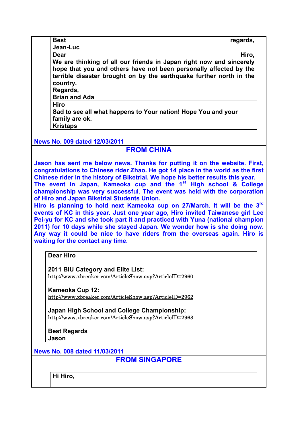| <b>Best</b>                                                         | regards, |
|---------------------------------------------------------------------|----------|
| Jean-Luc                                                            |          |
| Dear                                                                | Hiro,    |
| We are thinking of all our friends in Japan right now and sincerely |          |
| hope that you and others have not been personally affected by the   |          |
| terrible disaster brought on by the earthquake further north in the |          |
| country.                                                            |          |
| Regards,                                                            |          |
| <b>Brian and Ada</b>                                                |          |
| Hiro                                                                |          |
| Sad to see all what happens to Your nation! Hope You and your       |          |
| family are ok.                                                      |          |
| <b>Kristaps</b>                                                     |          |

**News No. 009 dated 12/03/2011**

## **FROM CHINA**

**Jason has sent me below news. Thanks for putting it on the website. First, congratulations to Chinese rider Zhao. He got 14 place in the world as the first Chinese rider in the history of Biketrial. We hope his better results this year. The event in Japan, Kameoka cup and the 1st High school & College championship was very successful. The event was held with the corporation of Hiro and Japan Biketrial Students Union.** 

**Hiro is planning to hold next Kameoka cup on 27/March. It will be the 3rd events of KC in this year. Just one year ago, Hiro invited Taiwanese girl Lee Pei-yu for KC and she took part it and practiced with Yuna (national champion 2011) for 10 days while she stayed Japan. We wonder how is she doing now. Any way it could be nice to have riders from the overseas again. Hiro is waiting for the contact any time.** 

**Dear Hiro**

**2011 BIU Category and Elite List:** http://www.xbreaker.com/ArticleShow.asp?ArticleID=2960

**Kameoka Cup 12:** http://www.xbreaker.com/ArticleShow.asp?ArticleID=2962

**Japan High School and College Championship:** http://www.xbreaker.com/ArticleShow.asp?ArticleID=2963

**Best Regards Jason**

**News No. 008 dated 11/03/2011**

**FROM SINGAPORE**

**Hi Hiro,**